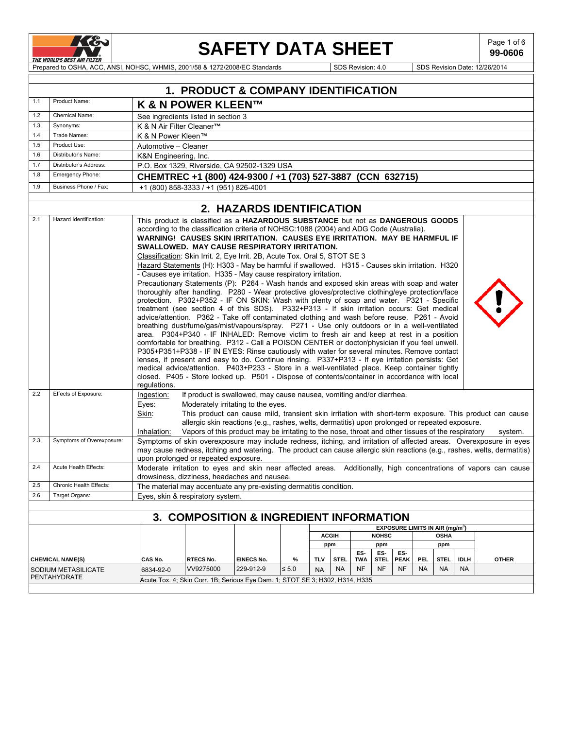

Ē

# **SAFETY DATA SHEET**  $\left| \begin{array}{c} \text{Page 1 of 6} \\ \text{99-0606} \end{array} \right|$

**99-0606**

Prepared to OSHA, ACC, ANSI, NOHSC, WHMIS, 2001/58 & 1272/2008/EC Standards Superintent Superintent Superintent SDS Revision Date: 12/26/2014

|     | 1. PRODUCT & COMPANY IDENTIFICATION            |                                                                                                                                                                                                                                                                                                                                                                                                                                                                                                                                                                                                                                                                                                                                                                                                                                                                                                                                                                                                                                                                                                                                                                                                                                                                                                                                                                                                                                                                                                                                                                                                                                                                                                                                                                          |                                                                              |                           |            |              |             |            |              |                                             |            |             |             |                                                                                                                                                                                                                                                |
|-----|------------------------------------------------|--------------------------------------------------------------------------------------------------------------------------------------------------------------------------------------------------------------------------------------------------------------------------------------------------------------------------------------------------------------------------------------------------------------------------------------------------------------------------------------------------------------------------------------------------------------------------------------------------------------------------------------------------------------------------------------------------------------------------------------------------------------------------------------------------------------------------------------------------------------------------------------------------------------------------------------------------------------------------------------------------------------------------------------------------------------------------------------------------------------------------------------------------------------------------------------------------------------------------------------------------------------------------------------------------------------------------------------------------------------------------------------------------------------------------------------------------------------------------------------------------------------------------------------------------------------------------------------------------------------------------------------------------------------------------------------------------------------------------------------------------------------------------|------------------------------------------------------------------------------|---------------------------|------------|--------------|-------------|------------|--------------|---------------------------------------------|------------|-------------|-------------|------------------------------------------------------------------------------------------------------------------------------------------------------------------------------------------------------------------------------------------------|
| 1.1 | Product Name:<br><b>K &amp; N POWER KLEEN™</b> |                                                                                                                                                                                                                                                                                                                                                                                                                                                                                                                                                                                                                                                                                                                                                                                                                                                                                                                                                                                                                                                                                                                                                                                                                                                                                                                                                                                                                                                                                                                                                                                                                                                                                                                                                                          |                                                                              |                           |            |              |             |            |              |                                             |            |             |             |                                                                                                                                                                                                                                                |
| 1.2 | Chemical Name:                                 |                                                                                                                                                                                                                                                                                                                                                                                                                                                                                                                                                                                                                                                                                                                                                                                                                                                                                                                                                                                                                                                                                                                                                                                                                                                                                                                                                                                                                                                                                                                                                                                                                                                                                                                                                                          | See ingredients listed in section 3                                          |                           |            |              |             |            |              |                                             |            |             |             |                                                                                                                                                                                                                                                |
| 1.3 | Synonyms:                                      | K & N Air Filter Cleaner™                                                                                                                                                                                                                                                                                                                                                                                                                                                                                                                                                                                                                                                                                                                                                                                                                                                                                                                                                                                                                                                                                                                                                                                                                                                                                                                                                                                                                                                                                                                                                                                                                                                                                                                                                |                                                                              |                           |            |              |             |            |              |                                             |            |             |             |                                                                                                                                                                                                                                                |
| 1.4 | Trade Names:                                   | K & N Power Kleen™                                                                                                                                                                                                                                                                                                                                                                                                                                                                                                                                                                                                                                                                                                                                                                                                                                                                                                                                                                                                                                                                                                                                                                                                                                                                                                                                                                                                                                                                                                                                                                                                                                                                                                                                                       |                                                                              |                           |            |              |             |            |              |                                             |            |             |             |                                                                                                                                                                                                                                                |
| 1.5 | Product Use:                                   | Automotive - Cleaner                                                                                                                                                                                                                                                                                                                                                                                                                                                                                                                                                                                                                                                                                                                                                                                                                                                                                                                                                                                                                                                                                                                                                                                                                                                                                                                                                                                                                                                                                                                                                                                                                                                                                                                                                     |                                                                              |                           |            |              |             |            |              |                                             |            |             |             |                                                                                                                                                                                                                                                |
| 1.6 | Distributor's Name:                            | K&N Engineering, Inc.                                                                                                                                                                                                                                                                                                                                                                                                                                                                                                                                                                                                                                                                                                                                                                                                                                                                                                                                                                                                                                                                                                                                                                                                                                                                                                                                                                                                                                                                                                                                                                                                                                                                                                                                                    |                                                                              |                           |            |              |             |            |              |                                             |            |             |             |                                                                                                                                                                                                                                                |
| 1.7 | Distributor's Address:                         |                                                                                                                                                                                                                                                                                                                                                                                                                                                                                                                                                                                                                                                                                                                                                                                                                                                                                                                                                                                                                                                                                                                                                                                                                                                                                                                                                                                                                                                                                                                                                                                                                                                                                                                                                                          | P.O. Box 1329, Riverside, CA 92502-1329 USA                                  |                           |            |              |             |            |              |                                             |            |             |             |                                                                                                                                                                                                                                                |
| 1.8 | Emergency Phone:                               |                                                                                                                                                                                                                                                                                                                                                                                                                                                                                                                                                                                                                                                                                                                                                                                                                                                                                                                                                                                                                                                                                                                                                                                                                                                                                                                                                                                                                                                                                                                                                                                                                                                                                                                                                                          | CHEMTREC +1 (800) 424-9300 / +1 (703) 527-3887 (CCN 632715)                  |                           |            |              |             |            |              |                                             |            |             |             |                                                                                                                                                                                                                                                |
| 1.9 | Business Phone / Fax:                          |                                                                                                                                                                                                                                                                                                                                                                                                                                                                                                                                                                                                                                                                                                                                                                                                                                                                                                                                                                                                                                                                                                                                                                                                                                                                                                                                                                                                                                                                                                                                                                                                                                                                                                                                                                          | +1 (800) 858-3333 / +1 (951) 826-4001                                        |                           |            |              |             |            |              |                                             |            |             |             |                                                                                                                                                                                                                                                |
|     |                                                |                                                                                                                                                                                                                                                                                                                                                                                                                                                                                                                                                                                                                                                                                                                                                                                                                                                                                                                                                                                                                                                                                                                                                                                                                                                                                                                                                                                                                                                                                                                                                                                                                                                                                                                                                                          |                                                                              | 2. HAZARDS IDENTIFICATION |            |              |             |            |              |                                             |            |             |             |                                                                                                                                                                                                                                                |
| 2.1 | Hazard Identification:                         |                                                                                                                                                                                                                                                                                                                                                                                                                                                                                                                                                                                                                                                                                                                                                                                                                                                                                                                                                                                                                                                                                                                                                                                                                                                                                                                                                                                                                                                                                                                                                                                                                                                                                                                                                                          |                                                                              |                           |            |              |             |            |              |                                             |            |             |             |                                                                                                                                                                                                                                                |
| 2.2 | Effects of Exposure:                           | This product is classified as a HAZARDOUS SUBSTANCE but not as DANGEROUS GOODS<br>according to the classification criteria of NOHSC:1088 (2004) and ADG Code (Australia).<br>WARNING! CAUSES SKIN IRRITATION. CAUSES EYE IRRITATION. MAY BE HARMFUL IF<br>SWALLOWED. MAY CAUSE RESPIRATORY IRRITATION.<br>Classification: Skin Irrit. 2, Eye Irrit. 2B, Acute Tox. Oral 5, STOT SE 3<br>Hazard Statements (H): H303 - May be harmful if swallowed. H315 - Causes skin irritation. H320<br>- Causes eye irritation. H335 - May cause respiratory irritation.<br>Precautionary Statements (P): P264 - Wash hands and exposed skin areas with soap and water<br>thoroughly after handling. P280 - Wear protective gloves/protective clothing/eye protection/face<br>protection. P302+P352 - IF ON SKIN: Wash with plenty of soap and water. P321 - Specific<br>treatment (see section 4 of this SDS). P332+P313 - If skin irritation occurs: Get medical<br>advice/attention. P362 - Take off contaminated clothing and wash before reuse. P261 - Avoid<br>breathing dust/fume/gas/mist/vapours/spray. P271 - Use only outdoors or in a well-ventilated<br>area. P304+P340 - IF INHALED: Remove victim to fresh air and keep at rest in a position<br>comfortable for breathing. P312 - Call a POISON CENTER or doctor/physician if you feel unwell.<br>P305+P351+P338 - IF IN EYES: Rinse cautiously with water for several minutes. Remove contact<br>lenses, if present and easy to do. Continue rinsing. P337+P313 - If eye irritation persists: Get<br>medical advice/attention. P403+P233 - Store in a well-ventilated place. Keep container tightly<br>closed. P405 - Store locked up. P501 - Dispose of contents/container in accordance with local<br>regulations. |                                                                              |                           |            |              |             |            |              |                                             |            |             |             |                                                                                                                                                                                                                                                |
|     |                                                | Ingestion:<br>If product is swallowed, may cause nausea, vomiting and/or diarrhea.<br>Eyes:<br>Moderately irritating to the eyes.<br>Skin:<br>This product can cause mild, transient skin irritation with short-term exposure. This product can cause<br>allergic skin reactions (e.g., rashes, welts, dermatitis) upon prolonged or repeated exposure.<br>Vapors of this product may be irritating to the nose, throat and other tissues of the respiratory<br>Inhalation:<br>system.                                                                                                                                                                                                                                                                                                                                                                                                                                                                                                                                                                                                                                                                                                                                                                                                                                                                                                                                                                                                                                                                                                                                                                                                                                                                                   |                                                                              |                           |            |              |             |            |              |                                             |            |             |             |                                                                                                                                                                                                                                                |
| 2.3 | Symptoms of Overexposure:                      |                                                                                                                                                                                                                                                                                                                                                                                                                                                                                                                                                                                                                                                                                                                                                                                                                                                                                                                                                                                                                                                                                                                                                                                                                                                                                                                                                                                                                                                                                                                                                                                                                                                                                                                                                                          | upon prolonged or repeated exposure.                                         |                           |            |              |             |            |              |                                             |            |             |             | Symptoms of skin overexposure may include redness, itching, and irritation of affected areas. Overexposure in eyes<br>may cause redness, itching and watering. The product can cause allergic skin reactions (e.g., rashes, welts, dermatitis) |
| 2.4 | Acute Health Effects:                          |                                                                                                                                                                                                                                                                                                                                                                                                                                                                                                                                                                                                                                                                                                                                                                                                                                                                                                                                                                                                                                                                                                                                                                                                                                                                                                                                                                                                                                                                                                                                                                                                                                                                                                                                                                          | drowsiness, dizziness, headaches and nausea.                                 |                           |            |              |             |            |              |                                             |            |             |             | Moderate irritation to eyes and skin near affected areas. Additionally, high concentrations of vapors can cause                                                                                                                                |
| 2.5 | Chronic Health Effects:                        |                                                                                                                                                                                                                                                                                                                                                                                                                                                                                                                                                                                                                                                                                                                                                                                                                                                                                                                                                                                                                                                                                                                                                                                                                                                                                                                                                                                                                                                                                                                                                                                                                                                                                                                                                                          | The material may accentuate any pre-existing dermatitis condition.           |                           |            |              |             |            |              |                                             |            |             |             |                                                                                                                                                                                                                                                |
| 2.6 | Target Organs:                                 |                                                                                                                                                                                                                                                                                                                                                                                                                                                                                                                                                                                                                                                                                                                                                                                                                                                                                                                                                                                                                                                                                                                                                                                                                                                                                                                                                                                                                                                                                                                                                                                                                                                                                                                                                                          | Eyes, skin & respiratory system.                                             |                           |            |              |             |            |              |                                             |            |             |             |                                                                                                                                                                                                                                                |
|     |                                                |                                                                                                                                                                                                                                                                                                                                                                                                                                                                                                                                                                                                                                                                                                                                                                                                                                                                                                                                                                                                                                                                                                                                                                                                                                                                                                                                                                                                                                                                                                                                                                                                                                                                                                                                                                          |                                                                              |                           |            |              |             |            |              |                                             |            |             |             |                                                                                                                                                                                                                                                |
|     |                                                |                                                                                                                                                                                                                                                                                                                                                                                                                                                                                                                                                                                                                                                                                                                                                                                                                                                                                                                                                                                                                                                                                                                                                                                                                                                                                                                                                                                                                                                                                                                                                                                                                                                                                                                                                                          | <b>3. COMPOSITION &amp; INGREDIENT INFORMATION</b>                           |                           |            |              |             |            |              |                                             |            |             |             |                                                                                                                                                                                                                                                |
|     |                                                |                                                                                                                                                                                                                                                                                                                                                                                                                                                                                                                                                                                                                                                                                                                                                                                                                                                                                                                                                                                                                                                                                                                                                                                                                                                                                                                                                                                                                                                                                                                                                                                                                                                                                                                                                                          |                                                                              |                           |            |              |             |            |              | EXPOSURE LIMITS IN AIR (mg/m <sup>3</sup> ) |            |             |             |                                                                                                                                                                                                                                                |
|     |                                                |                                                                                                                                                                                                                                                                                                                                                                                                                                                                                                                                                                                                                                                                                                                                                                                                                                                                                                                                                                                                                                                                                                                                                                                                                                                                                                                                                                                                                                                                                                                                                                                                                                                                                                                                                                          |                                                                              |                           |            | <b>ACGIH</b> |             |            | <b>NOHSC</b> |                                             |            | <b>OSHA</b> |             |                                                                                                                                                                                                                                                |
|     |                                                |                                                                                                                                                                                                                                                                                                                                                                                                                                                                                                                                                                                                                                                                                                                                                                                                                                                                                                                                                                                                                                                                                                                                                                                                                                                                                                                                                                                                                                                                                                                                                                                                                                                                                                                                                                          |                                                                              |                           |            | ppm          |             | ES-        | ppm<br>ES-   | ES-                                         |            | ppm         |             |                                                                                                                                                                                                                                                |
|     | <b>CHEMICAL NAME(S)</b>                        | CAS No.                                                                                                                                                                                                                                                                                                                                                                                                                                                                                                                                                                                                                                                                                                                                                                                                                                                                                                                                                                                                                                                                                                                                                                                                                                                                                                                                                                                                                                                                                                                                                                                                                                                                                                                                                                  | <b>RTECS No.</b>                                                             | <b>EINECS No.</b>         | $\%$       | <b>TLV</b>   | <b>STEL</b> | <b>TWA</b> | STEL         | <b>PEAK</b>                                 | <b>PEL</b> | <b>STEL</b> | <b>IDLH</b> | <b>OTHER</b>                                                                                                                                                                                                                                   |
|     | SODIUM METASILICATE                            | 6834-92-0                                                                                                                                                                                                                                                                                                                                                                                                                                                                                                                                                                                                                                                                                                                                                                                                                                                                                                                                                                                                                                                                                                                                                                                                                                                                                                                                                                                                                                                                                                                                                                                                                                                                                                                                                                | VV9275000                                                                    | 229-912-9                 | $\leq 5.0$ | <b>NA</b>    | <b>NA</b>   | <b>NF</b>  | NF           | <b>NF</b>                                   | <b>NA</b>  | <b>NA</b>   | <b>NA</b>   |                                                                                                                                                                                                                                                |
|     | PENTAHYDRATE                                   |                                                                                                                                                                                                                                                                                                                                                                                                                                                                                                                                                                                                                                                                                                                                                                                                                                                                                                                                                                                                                                                                                                                                                                                                                                                                                                                                                                                                                                                                                                                                                                                                                                                                                                                                                                          | Acute Tox. 4; Skin Corr. 1B; Serious Eye Dam. 1; STOT SE 3; H302, H314, H335 |                           |            |              |             |            |              |                                             |            |             |             |                                                                                                                                                                                                                                                |
|     |                                                |                                                                                                                                                                                                                                                                                                                                                                                                                                                                                                                                                                                                                                                                                                                                                                                                                                                                                                                                                                                                                                                                                                                                                                                                                                                                                                                                                                                                                                                                                                                                                                                                                                                                                                                                                                          |                                                                              |                           |            |              |             |            |              |                                             |            |             |             |                                                                                                                                                                                                                                                |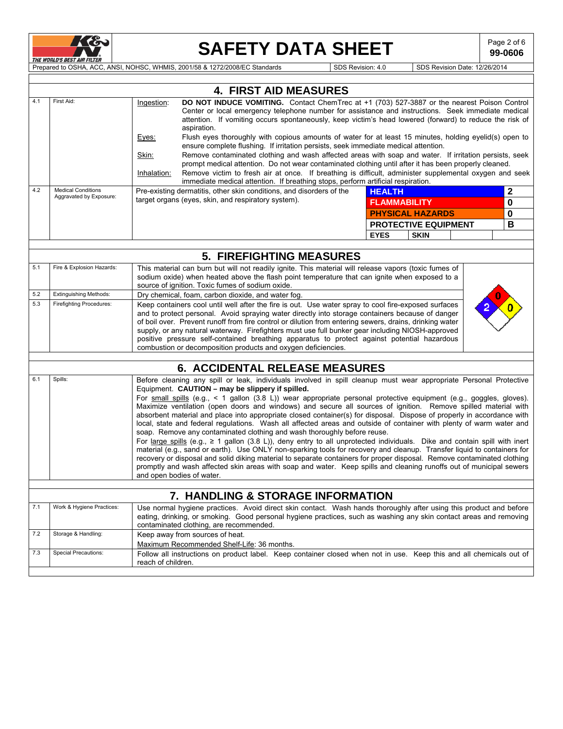

# SAFETY DATA SHEET SAFETY

**99-0606**

PRE WORLD'S BEST AIR FILTER<br>Prepared to OSHA, ACC, ANSI, NOHSC, WHMIS, 2001/58 & 1272/2008/EC Standards SDS Revision: 4.0 SDS Revision Date: 12/26/2014

|            |                                                                                                                                                                                                                                                                                                                                                                                                                                                                                                                                                                                                                                                                                                                                                                                                                                                                                                                                                                                                                                                                                                                                                                                                                                                                                                                                                    |                                                                                                                                                                                                                                                                                                                                                                                                                                                                                                                                                                                         |                                                                                                                                                                                                                                                                                                                                                                                                                                       |  |  |  |  | <b>4. FIRST AID MEASURES</b> |                                                                                  |               |                                                                                                                                                                                                                 |  |              |          |  |
|------------|----------------------------------------------------------------------------------------------------------------------------------------------------------------------------------------------------------------------------------------------------------------------------------------------------------------------------------------------------------------------------------------------------------------------------------------------------------------------------------------------------------------------------------------------------------------------------------------------------------------------------------------------------------------------------------------------------------------------------------------------------------------------------------------------------------------------------------------------------------------------------------------------------------------------------------------------------------------------------------------------------------------------------------------------------------------------------------------------------------------------------------------------------------------------------------------------------------------------------------------------------------------------------------------------------------------------------------------------------|-----------------------------------------------------------------------------------------------------------------------------------------------------------------------------------------------------------------------------------------------------------------------------------------------------------------------------------------------------------------------------------------------------------------------------------------------------------------------------------------------------------------------------------------------------------------------------------------|---------------------------------------------------------------------------------------------------------------------------------------------------------------------------------------------------------------------------------------------------------------------------------------------------------------------------------------------------------------------------------------------------------------------------------------|--|--|--|--|------------------------------|----------------------------------------------------------------------------------|---------------|-----------------------------------------------------------------------------------------------------------------------------------------------------------------------------------------------------------------|--|--------------|----------|--|
| 4.1        | First Aid:                                                                                                                                                                                                                                                                                                                                                                                                                                                                                                                                                                                                                                                                                                                                                                                                                                                                                                                                                                                                                                                                                                                                                                                                                                                                                                                                         | Ingestion:<br>Eyes:                                                                                                                                                                                                                                                                                                                                                                                                                                                                                                                                                                     | DO NOT INDUCE VOMITING. Contact ChemTrec at +1 (703) 527-3887 or the nearest Poison Control<br>Center or local emergency telephone number for assistance and instructions. Seek immediate medical<br>attention. If vomiting occurs spontaneously, keep victim's head lowered (forward) to reduce the risk of<br>aspiration.<br>Flush eyes thoroughly with copious amounts of water for at least 15 minutes, holding eyelid(s) open to |  |  |  |  |                              |                                                                                  |               |                                                                                                                                                                                                                 |  |              |          |  |
|            |                                                                                                                                                                                                                                                                                                                                                                                                                                                                                                                                                                                                                                                                                                                                                                                                                                                                                                                                                                                                                                                                                                                                                                                                                                                                                                                                                    |                                                                                                                                                                                                                                                                                                                                                                                                                                                                                                                                                                                         |                                                                                                                                                                                                                                                                                                                                                                                                                                       |  |  |  |  |                              |                                                                                  |               | ensure complete flushing. If irritation persists, seek immediate medical attention.                                                                                                                             |  |              |          |  |
|            |                                                                                                                                                                                                                                                                                                                                                                                                                                                                                                                                                                                                                                                                                                                                                                                                                                                                                                                                                                                                                                                                                                                                                                                                                                                                                                                                                    | Skin:                                                                                                                                                                                                                                                                                                                                                                                                                                                                                                                                                                                   |                                                                                                                                                                                                                                                                                                                                                                                                                                       |  |  |  |  |                              |                                                                                  |               | Remove contaminated clothing and wash affected areas with soap and water. If irritation persists, seek                                                                                                          |  |              |          |  |
|            |                                                                                                                                                                                                                                                                                                                                                                                                                                                                                                                                                                                                                                                                                                                                                                                                                                                                                                                                                                                                                                                                                                                                                                                                                                                                                                                                                    | Inhalation:                                                                                                                                                                                                                                                                                                                                                                                                                                                                                                                                                                             |                                                                                                                                                                                                                                                                                                                                                                                                                                       |  |  |  |  |                              |                                                                                  |               | prompt medical attention. Do not wear contaminated clothing until after it has been properly cleaned.<br>Remove victim to fresh air at once. If breathing is difficult, administer supplemental oxygen and seek |  |              |          |  |
|            |                                                                                                                                                                                                                                                                                                                                                                                                                                                                                                                                                                                                                                                                                                                                                                                                                                                                                                                                                                                                                                                                                                                                                                                                                                                                                                                                                    |                                                                                                                                                                                                                                                                                                                                                                                                                                                                                                                                                                                         |                                                                                                                                                                                                                                                                                                                                                                                                                                       |  |  |  |  |                              | immediate medical attention. If breathing stops, perform artificial respiration. |               |                                                                                                                                                                                                                 |  |              |          |  |
| 4.2        | <b>Medical Conditions</b><br>Aggravated by Exposure:                                                                                                                                                                                                                                                                                                                                                                                                                                                                                                                                                                                                                                                                                                                                                                                                                                                                                                                                                                                                                                                                                                                                                                                                                                                                                               | Pre-existing dermatitis, other skin conditions, and disorders of the                                                                                                                                                                                                                                                                                                                                                                                                                                                                                                                    |                                                                                                                                                                                                                                                                                                                                                                                                                                       |  |  |  |  |                              |                                                                                  | <b>HEALTH</b> |                                                                                                                                                                                                                 |  | $\mathbf{2}$ |          |  |
|            |                                                                                                                                                                                                                                                                                                                                                                                                                                                                                                                                                                                                                                                                                                                                                                                                                                                                                                                                                                                                                                                                                                                                                                                                                                                                                                                                                    | target organs (eyes, skin, and respiratory system).                                                                                                                                                                                                                                                                                                                                                                                                                                                                                                                                     |                                                                                                                                                                                                                                                                                                                                                                                                                                       |  |  |  |  |                              |                                                                                  |               | <b>FLAMMABILITY</b>                                                                                                                                                                                             |  |              | 0        |  |
|            |                                                                                                                                                                                                                                                                                                                                                                                                                                                                                                                                                                                                                                                                                                                                                                                                                                                                                                                                                                                                                                                                                                                                                                                                                                                                                                                                                    |                                                                                                                                                                                                                                                                                                                                                                                                                                                                                                                                                                                         |                                                                                                                                                                                                                                                                                                                                                                                                                                       |  |  |  |  |                              |                                                                                  |               | <b>PHYSICAL HAZARDS</b>                                                                                                                                                                                         |  |              | $\bf{0}$ |  |
|            |                                                                                                                                                                                                                                                                                                                                                                                                                                                                                                                                                                                                                                                                                                                                                                                                                                                                                                                                                                                                                                                                                                                                                                                                                                                                                                                                                    |                                                                                                                                                                                                                                                                                                                                                                                                                                                                                                                                                                                         |                                                                                                                                                                                                                                                                                                                                                                                                                                       |  |  |  |  |                              |                                                                                  |               | <b>PROTECTIVE EQUIPMENT</b>                                                                                                                                                                                     |  |              | в        |  |
|            |                                                                                                                                                                                                                                                                                                                                                                                                                                                                                                                                                                                                                                                                                                                                                                                                                                                                                                                                                                                                                                                                                                                                                                                                                                                                                                                                                    |                                                                                                                                                                                                                                                                                                                                                                                                                                                                                                                                                                                         |                                                                                                                                                                                                                                                                                                                                                                                                                                       |  |  |  |  |                              |                                                                                  | <b>EYES</b>   | <b>SKIN</b>                                                                                                                                                                                                     |  |              |          |  |
|            |                                                                                                                                                                                                                                                                                                                                                                                                                                                                                                                                                                                                                                                                                                                                                                                                                                                                                                                                                                                                                                                                                                                                                                                                                                                                                                                                                    |                                                                                                                                                                                                                                                                                                                                                                                                                                                                                                                                                                                         |                                                                                                                                                                                                                                                                                                                                                                                                                                       |  |  |  |  |                              |                                                                                  |               |                                                                                                                                                                                                                 |  |              |          |  |
| 5.1        | Fire & Explosion Hazards:                                                                                                                                                                                                                                                                                                                                                                                                                                                                                                                                                                                                                                                                                                                                                                                                                                                                                                                                                                                                                                                                                                                                                                                                                                                                                                                          |                                                                                                                                                                                                                                                                                                                                                                                                                                                                                                                                                                                         |                                                                                                                                                                                                                                                                                                                                                                                                                                       |  |  |  |  |                              | <b>5. FIREFIGHTING MEASURES</b>                                                  |               |                                                                                                                                                                                                                 |  |              |          |  |
|            |                                                                                                                                                                                                                                                                                                                                                                                                                                                                                                                                                                                                                                                                                                                                                                                                                                                                                                                                                                                                                                                                                                                                                                                                                                                                                                                                                    | This material can burn but will not readily ignite. This material will release vapors (toxic fumes of<br>sodium oxide) when heated above the flash point temperature that can ignite when exposed to a<br>source of ignition. Toxic fumes of sodium oxide.                                                                                                                                                                                                                                                                                                                              |                                                                                                                                                                                                                                                                                                                                                                                                                                       |  |  |  |  |                              |                                                                                  |               |                                                                                                                                                                                                                 |  |              |          |  |
| 5.2<br>5.3 | <b>Extinguishing Methods:</b>                                                                                                                                                                                                                                                                                                                                                                                                                                                                                                                                                                                                                                                                                                                                                                                                                                                                                                                                                                                                                                                                                                                                                                                                                                                                                                                      | Dry chemical, foam, carbon dioxide, and water fog.                                                                                                                                                                                                                                                                                                                                                                                                                                                                                                                                      |                                                                                                                                                                                                                                                                                                                                                                                                                                       |  |  |  |  |                              |                                                                                  |               |                                                                                                                                                                                                                 |  |              |          |  |
|            | <b>Firefighting Procedures:</b>                                                                                                                                                                                                                                                                                                                                                                                                                                                                                                                                                                                                                                                                                                                                                                                                                                                                                                                                                                                                                                                                                                                                                                                                                                                                                                                    | Keep containers cool until well after the fire is out. Use water spray to cool fire-exposed surfaces<br>and to protect personal. Avoid spraying water directly into storage containers because of danger<br>of boil over. Prevent runoff from fire control or dilution from entering sewers, drains, drinking water<br>supply, or any natural waterway. Firefighters must use full bunker gear including NIOSH-approved<br>positive pressure self-contained breathing apparatus to protect against potential hazardous<br>combustion or decomposition products and oxygen deficiencies. |                                                                                                                                                                                                                                                                                                                                                                                                                                       |  |  |  |  |                              |                                                                                  |               |                                                                                                                                                                                                                 |  |              |          |  |
|            |                                                                                                                                                                                                                                                                                                                                                                                                                                                                                                                                                                                                                                                                                                                                                                                                                                                                                                                                                                                                                                                                                                                                                                                                                                                                                                                                                    |                                                                                                                                                                                                                                                                                                                                                                                                                                                                                                                                                                                         |                                                                                                                                                                                                                                                                                                                                                                                                                                       |  |  |  |  |                              |                                                                                  |               |                                                                                                                                                                                                                 |  |              |          |  |
| 6.1        | <b>6. ACCIDENTAL RELEASE MEASURES</b><br>Spills:<br>Before cleaning any spill or leak, individuals involved in spill cleanup must wear appropriate Personal Protective<br>Equipment. CAUTION - may be slippery if spilled.<br>For small spills (e.g., $\leq 1$ gallon (3.8 L)) wear appropriate personal protective equipment (e.g., goggles, gloves).<br>Maximize ventilation (open doors and windows) and secure all sources of ignition. Remove spilled material with<br>absorbent material and place into appropriate closed container(s) for disposal. Dispose of properly in accordance with<br>local, state and federal regulations. Wash all affected areas and outside of container with plenty of warm water and<br>soap. Remove any contaminated clothing and wash thoroughly before reuse.<br>For large spills (e.g., $\geq 1$ gallon (3.8 L)), deny entry to all unprotected individuals. Dike and contain spill with inert<br>material (e.g., sand or earth). Use ONLY non-sparking tools for recovery and cleanup. Transfer liquid to containers for<br>recovery or disposal and solid diking material to separate containers for proper disposal. Remove contaminated clothing<br>promptly and wash affected skin areas with soap and water. Keep spills and cleaning runoffs out of municipal sewers<br>and open bodies of water. |                                                                                                                                                                                                                                                                                                                                                                                                                                                                                                                                                                                         |                                                                                                                                                                                                                                                                                                                                                                                                                                       |  |  |  |  |                              |                                                                                  |               |                                                                                                                                                                                                                 |  |              |          |  |
|            |                                                                                                                                                                                                                                                                                                                                                                                                                                                                                                                                                                                                                                                                                                                                                                                                                                                                                                                                                                                                                                                                                                                                                                                                                                                                                                                                                    |                                                                                                                                                                                                                                                                                                                                                                                                                                                                                                                                                                                         |                                                                                                                                                                                                                                                                                                                                                                                                                                       |  |  |  |  |                              |                                                                                  |               |                                                                                                                                                                                                                 |  |              |          |  |
| 7.1        | Work & Hygiene Practices:                                                                                                                                                                                                                                                                                                                                                                                                                                                                                                                                                                                                                                                                                                                                                                                                                                                                                                                                                                                                                                                                                                                                                                                                                                                                                                                          |                                                                                                                                                                                                                                                                                                                                                                                                                                                                                                                                                                                         |                                                                                                                                                                                                                                                                                                                                                                                                                                       |  |  |  |  |                              | 7. HANDLING & STORAGE INFORMATION                                                |               |                                                                                                                                                                                                                 |  |              |          |  |
|            |                                                                                                                                                                                                                                                                                                                                                                                                                                                                                                                                                                                                                                                                                                                                                                                                                                                                                                                                                                                                                                                                                                                                                                                                                                                                                                                                                    | Use normal hygiene practices. Avoid direct skin contact. Wash hands thoroughly after using this product and before<br>eating, drinking, or smoking. Good personal hygiene practices, such as washing any skin contact areas and removing<br>contaminated clothing, are recommended.                                                                                                                                                                                                                                                                                                     |                                                                                                                                                                                                                                                                                                                                                                                                                                       |  |  |  |  |                              |                                                                                  |               |                                                                                                                                                                                                                 |  |              |          |  |
| 7.2        | Storage & Handling:                                                                                                                                                                                                                                                                                                                                                                                                                                                                                                                                                                                                                                                                                                                                                                                                                                                                                                                                                                                                                                                                                                                                                                                                                                                                                                                                | Keep away from sources of heat.<br>Maximum Recommended Shelf-Life: 36 months.                                                                                                                                                                                                                                                                                                                                                                                                                                                                                                           |                                                                                                                                                                                                                                                                                                                                                                                                                                       |  |  |  |  |                              |                                                                                  |               |                                                                                                                                                                                                                 |  |              |          |  |
| 7.3        | <b>Special Precautions:</b>                                                                                                                                                                                                                                                                                                                                                                                                                                                                                                                                                                                                                                                                                                                                                                                                                                                                                                                                                                                                                                                                                                                                                                                                                                                                                                                        | Follow all instructions on product label. Keep container closed when not in use. Keep this and all chemicals out of<br>reach of children.                                                                                                                                                                                                                                                                                                                                                                                                                                               |                                                                                                                                                                                                                                                                                                                                                                                                                                       |  |  |  |  |                              |                                                                                  |               |                                                                                                                                                                                                                 |  |              |          |  |
|            |                                                                                                                                                                                                                                                                                                                                                                                                                                                                                                                                                                                                                                                                                                                                                                                                                                                                                                                                                                                                                                                                                                                                                                                                                                                                                                                                                    |                                                                                                                                                                                                                                                                                                                                                                                                                                                                                                                                                                                         |                                                                                                                                                                                                                                                                                                                                                                                                                                       |  |  |  |  |                              |                                                                                  |               |                                                                                                                                                                                                                 |  |              |          |  |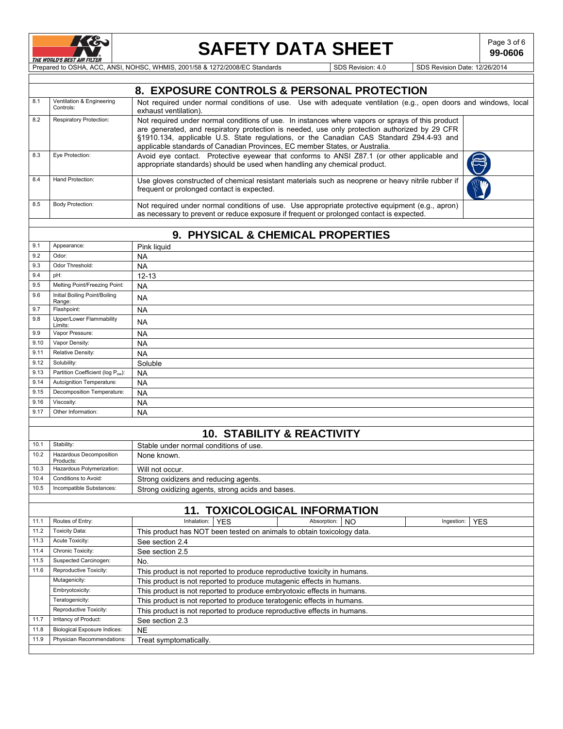

# **SAFETY DATA SHEET**  $\left| \begin{array}{c} \text{Page 3 of 6} \\ \text{99-0606} \end{array} \right|$

**99-0606**

PRE WORLD'S BESTAIR FILTER SOLUTION OF THE PREPARED TO OSHA, ACC, ANSI, NOHSC, WHMIS, 2001/58 & 1272/2008/EC Standards SDS Revision: 4.0 SDS Revision Date: 12/26/2014

|      |                                        | 8. EXPOSURE CONTROLS & PERSONAL PROTECTION                                                                                                                                                                                                                                                                                                                                  |
|------|----------------------------------------|-----------------------------------------------------------------------------------------------------------------------------------------------------------------------------------------------------------------------------------------------------------------------------------------------------------------------------------------------------------------------------|
| 8.1  | Ventilation & Engineering<br>Controls: | Not required under normal conditions of use. Use with adequate ventilation (e.g., open doors and windows, local<br>exhaust ventilation).                                                                                                                                                                                                                                    |
| 8.2  | Respiratory Protection:                | Not required under normal conditions of use. In instances where vapors or sprays of this product<br>are generated, and respiratory protection is needed, use only protection authorized by 29 CFR<br>§1910.134, applicable U.S. State regulations, or the Canadian CAS Standard Z94.4-93 and<br>applicable standards of Canadian Provinces, EC member States, or Australia. |
| 8.3  | Eye Protection:                        | Avoid eye contact. Protective eyewear that conforms to ANSI Z87.1 (or other applicable and<br>appropriate standards) should be used when handling any chemical product.                                                                                                                                                                                                     |
| 8.4  | Hand Protection:                       | Use gloves constructed of chemical resistant materials such as neoprene or heavy nitrile rubber if<br>frequent or prolonged contact is expected.                                                                                                                                                                                                                            |
| 8.5  | <b>Body Protection:</b>                | Not required under normal conditions of use. Use appropriate protective equipment (e.g., apron)<br>as necessary to prevent or reduce exposure if frequent or prolonged contact is expected.                                                                                                                                                                                 |
|      |                                        | 9. PHYSICAL & CHEMICAL PROPERTIES                                                                                                                                                                                                                                                                                                                                           |
| 9.1  | Appearance:                            | Pink liquid                                                                                                                                                                                                                                                                                                                                                                 |
| 9.2  | Odor:                                  | NA                                                                                                                                                                                                                                                                                                                                                                          |
| 9.3  | Odor Threshold:                        | <b>NA</b>                                                                                                                                                                                                                                                                                                                                                                   |
| 9.4  | pH:                                    | $12 - 13$                                                                                                                                                                                                                                                                                                                                                                   |
| 9.5  | Melting Point/Freezing Point:          | <b>NA</b>                                                                                                                                                                                                                                                                                                                                                                   |
| 9.6  | Initial Boiling Point/Boiling          |                                                                                                                                                                                                                                                                                                                                                                             |
|      | Range:                                 | <b>NA</b>                                                                                                                                                                                                                                                                                                                                                                   |
| 9.7  | Flashpoint:                            | <b>NA</b>                                                                                                                                                                                                                                                                                                                                                                   |
| 9.8  | Upper/Lower Flammability<br>Limits:    | <b>NA</b>                                                                                                                                                                                                                                                                                                                                                                   |
| 9.9  | Vapor Pressure:                        | NA                                                                                                                                                                                                                                                                                                                                                                          |
| 9.10 | Vapor Density:                         | <b>NA</b>                                                                                                                                                                                                                                                                                                                                                                   |
| 9.11 | Relative Density:                      | <b>NA</b>                                                                                                                                                                                                                                                                                                                                                                   |
| 9.12 | Solubility:                            | Soluble                                                                                                                                                                                                                                                                                                                                                                     |
| 9.13 | Partition Coefficient (log Pow):       | <b>NA</b>                                                                                                                                                                                                                                                                                                                                                                   |
| 9.14 | Autoignition Temperature:              | <b>NA</b>                                                                                                                                                                                                                                                                                                                                                                   |
| 9.15 | Decomposition Temperature:             | <b>NA</b>                                                                                                                                                                                                                                                                                                                                                                   |
| 9.16 | Viscosity:                             | <b>NA</b>                                                                                                                                                                                                                                                                                                                                                                   |
| 9.17 | Other Information:                     | NA                                                                                                                                                                                                                                                                                                                                                                          |
|      |                                        |                                                                                                                                                                                                                                                                                                                                                                             |
|      |                                        | <b>10. STABILITY &amp; REACTIVITY</b>                                                                                                                                                                                                                                                                                                                                       |
| 10.1 | Stability:                             | Stable under normal conditions of use                                                                                                                                                                                                                                                                                                                                       |
| 10.2 | Hazardous Decomposition<br>Products:   | None known.                                                                                                                                                                                                                                                                                                                                                                 |
| 10.3 | Hazardous Polymerization:              | Will not occur.                                                                                                                                                                                                                                                                                                                                                             |
| 10.4 | Conditions to Avoid:                   | Strong oxidizers and reducing agents.                                                                                                                                                                                                                                                                                                                                       |
| 10.5 | Incompatible Substances:               | Strong oxidizing agents, strong acids and bases.                                                                                                                                                                                                                                                                                                                            |
|      |                                        |                                                                                                                                                                                                                                                                                                                                                                             |
|      |                                        | <b>11. TOXICOLOGICAL INFORMATION</b>                                                                                                                                                                                                                                                                                                                                        |
| 11.1 | Routes of Entry:                       | Inhalation:<br><b>YES</b><br>Absorption:<br><b>YES</b><br><b>NO</b><br>Ingestion:                                                                                                                                                                                                                                                                                           |
| 11.2 | <b>Toxicity Data:</b>                  | This product has NOT been tested on animals to obtain toxicology data.                                                                                                                                                                                                                                                                                                      |
| 11.3 | Acute Toxicity:                        | See section 2.4                                                                                                                                                                                                                                                                                                                                                             |
| 11.4 | Chronic Toxicity:                      | See section 2.5                                                                                                                                                                                                                                                                                                                                                             |
| 11.5 | Suspected Carcinogen:                  | No.                                                                                                                                                                                                                                                                                                                                                                         |
| 11.6 | Reproductive Toxicity:                 | This product is not reported to produce reproductive toxicity in humans.                                                                                                                                                                                                                                                                                                    |
|      | Mutagenicity:                          | This product is not reported to produce mutagenic effects in humans.                                                                                                                                                                                                                                                                                                        |
|      | Embryotoxicity:                        | This product is not reported to produce embryotoxic effects in humans.                                                                                                                                                                                                                                                                                                      |
|      | Teratogenicity:                        | This product is not reported to produce teratogenic effects in humans.                                                                                                                                                                                                                                                                                                      |
|      | Reproductive Toxicity:                 | This product is not reported to produce reproductive effects in humans.                                                                                                                                                                                                                                                                                                     |
| 11.7 | Irritancy of Product:                  | See section 2.3                                                                                                                                                                                                                                                                                                                                                             |
| 11.8 | <b>Biological Exposure Indices:</b>    | <b>NE</b>                                                                                                                                                                                                                                                                                                                                                                   |
| 11.9 | Physician Recommendations:             | Treat symptomatically.                                                                                                                                                                                                                                                                                                                                                      |
|      |                                        |                                                                                                                                                                                                                                                                                                                                                                             |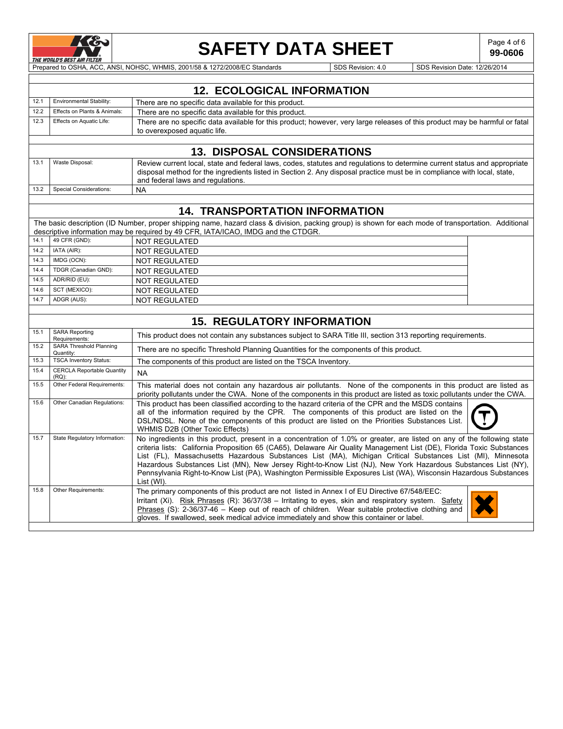

## **SAFETY DATA SHEET**  $\left| \begin{array}{c} \text{Page 4 of 6} \\ \text{99-0606} \end{array} \right|$

**99-0606**

PRE WORLD'S BEST AIR FILTER NO. ANSI, NOHSC, WHMIS, 2001/58 & 1272/2008/EC Standards SDS Revision: 4.0 SDS Revision Date: 12/26/2014

|      |                                                                                                                                                                                                                                                                                                              | <b>12. ECOLOGICAL INFORMATION</b>                                                                                                                                                                                                                                                                                                                                                                                                                                                                                                                                                                                |  |  |  |  |
|------|--------------------------------------------------------------------------------------------------------------------------------------------------------------------------------------------------------------------------------------------------------------------------------------------------------------|------------------------------------------------------------------------------------------------------------------------------------------------------------------------------------------------------------------------------------------------------------------------------------------------------------------------------------------------------------------------------------------------------------------------------------------------------------------------------------------------------------------------------------------------------------------------------------------------------------------|--|--|--|--|
| 12.1 | <b>Environmental Stability:</b>                                                                                                                                                                                                                                                                              | There are no specific data available for this product.                                                                                                                                                                                                                                                                                                                                                                                                                                                                                                                                                           |  |  |  |  |
| 12.2 | Effects on Plants & Animals:                                                                                                                                                                                                                                                                                 | There are no specific data available for this product.                                                                                                                                                                                                                                                                                                                                                                                                                                                                                                                                                           |  |  |  |  |
| 12.3 | Effects on Aquatic Life:                                                                                                                                                                                                                                                                                     | There are no specific data available for this product; however, very large releases of this product may be harmful or fatal<br>to overexposed aquatic life.                                                                                                                                                                                                                                                                                                                                                                                                                                                      |  |  |  |  |
|      |                                                                                                                                                                                                                                                                                                              |                                                                                                                                                                                                                                                                                                                                                                                                                                                                                                                                                                                                                  |  |  |  |  |
|      |                                                                                                                                                                                                                                                                                                              | <b>13. DISPOSAL CONSIDERATIONS</b>                                                                                                                                                                                                                                                                                                                                                                                                                                                                                                                                                                               |  |  |  |  |
| 13.1 | Waste Disposal:<br>Review current local, state and federal laws, codes, statutes and requiations to determine current status and appropriate<br>disposal method for the ingredients listed in Section 2. Any disposal practice must be in compliance with local, state,<br>and federal laws and regulations. |                                                                                                                                                                                                                                                                                                                                                                                                                                                                                                                                                                                                                  |  |  |  |  |
| 13.2 | <b>Special Considerations:</b>                                                                                                                                                                                                                                                                               | <b>NA</b>                                                                                                                                                                                                                                                                                                                                                                                                                                                                                                                                                                                                        |  |  |  |  |
|      |                                                                                                                                                                                                                                                                                                              |                                                                                                                                                                                                                                                                                                                                                                                                                                                                                                                                                                                                                  |  |  |  |  |
|      |                                                                                                                                                                                                                                                                                                              | <b>14. TRANSPORTATION INFORMATION</b>                                                                                                                                                                                                                                                                                                                                                                                                                                                                                                                                                                            |  |  |  |  |
|      |                                                                                                                                                                                                                                                                                                              | The basic description (ID Number, proper shipping name, hazard class & division, packing group) is shown for each mode of transportation. Additional<br>descriptive information may be required by 49 CFR, IATA/ICAO, IMDG and the CTDGR.                                                                                                                                                                                                                                                                                                                                                                        |  |  |  |  |
| 14.1 | 49 CFR (GND):                                                                                                                                                                                                                                                                                                | <b>NOT REGULATED</b>                                                                                                                                                                                                                                                                                                                                                                                                                                                                                                                                                                                             |  |  |  |  |
| 14.2 | IATA (AIR):                                                                                                                                                                                                                                                                                                  | <b>NOT REGULATED</b>                                                                                                                                                                                                                                                                                                                                                                                                                                                                                                                                                                                             |  |  |  |  |
| 14.3 | IMDG (OCN):                                                                                                                                                                                                                                                                                                  | <b>NOT REGULATED</b>                                                                                                                                                                                                                                                                                                                                                                                                                                                                                                                                                                                             |  |  |  |  |
| 14.4 | TDGR (Canadian GND):                                                                                                                                                                                                                                                                                         | <b>NOT REGULATED</b>                                                                                                                                                                                                                                                                                                                                                                                                                                                                                                                                                                                             |  |  |  |  |
| 14.5 | ADR/RID (EU):                                                                                                                                                                                                                                                                                                | <b>NOT REGULATED</b>                                                                                                                                                                                                                                                                                                                                                                                                                                                                                                                                                                                             |  |  |  |  |
| 14.6 | SCT (MEXICO):                                                                                                                                                                                                                                                                                                | <b>NOT REGULATED</b>                                                                                                                                                                                                                                                                                                                                                                                                                                                                                                                                                                                             |  |  |  |  |
| 14.7 | ADGR (AUS):                                                                                                                                                                                                                                                                                                  | <b>NOT REGULATED</b>                                                                                                                                                                                                                                                                                                                                                                                                                                                                                                                                                                                             |  |  |  |  |
|      |                                                                                                                                                                                                                                                                                                              |                                                                                                                                                                                                                                                                                                                                                                                                                                                                                                                                                                                                                  |  |  |  |  |
|      |                                                                                                                                                                                                                                                                                                              | <b>15. REGULATORY INFORMATION</b>                                                                                                                                                                                                                                                                                                                                                                                                                                                                                                                                                                                |  |  |  |  |
| 15.1 | <b>SARA Reporting</b><br>Requirements:                                                                                                                                                                                                                                                                       | This product does not contain any substances subject to SARA Title III, section 313 reporting requirements.                                                                                                                                                                                                                                                                                                                                                                                                                                                                                                      |  |  |  |  |
| 15.2 | <b>SARA Threshold Planning</b><br>Quantity:                                                                                                                                                                                                                                                                  | There are no specific Threshold Planning Quantities for the components of this product.                                                                                                                                                                                                                                                                                                                                                                                                                                                                                                                          |  |  |  |  |
| 15.3 | <b>TSCA Inventory Status:</b>                                                                                                                                                                                                                                                                                | The components of this product are listed on the TSCA Inventory.                                                                                                                                                                                                                                                                                                                                                                                                                                                                                                                                                 |  |  |  |  |
| 15.4 | <b>CERCLA Reportable Quantity</b><br>$(RQ)$ :                                                                                                                                                                                                                                                                | <b>NA</b>                                                                                                                                                                                                                                                                                                                                                                                                                                                                                                                                                                                                        |  |  |  |  |
| 15.5 | Other Federal Requirements:                                                                                                                                                                                                                                                                                  | This material does not contain any hazardous air pollutants. None of the components in this product are listed as<br>priority pollutants under the CWA. None of the components in this product are listed as toxic pollutants under the CWA.                                                                                                                                                                                                                                                                                                                                                                     |  |  |  |  |
| 15.6 | Other Canadian Regulations:                                                                                                                                                                                                                                                                                  | This product has been classified according to the hazard criteria of the CPR and the MSDS contains<br>all of the information required by the CPR. The components of this product are listed on the<br>DSL/NDSL. None of the components of this product are listed on the Priorities Substances List.<br><b>WHMIS D2B (Other Toxic Effects)</b>                                                                                                                                                                                                                                                                   |  |  |  |  |
| 15.7 | State Regulatory Information:                                                                                                                                                                                                                                                                                | No ingredients in this product, present in a concentration of 1.0% or greater, are listed on any of the following state<br>criteria lists: California Proposition 65 (CA65), Delaware Air Quality Management List (DE), Florida Toxic Substances<br>List (FL), Massachusetts Hazardous Substances List (MA), Michigan Critical Substances List (MI), Minnesota<br>Hazardous Substances List (MN), New Jersey Right-to-Know List (NJ), New York Hazardous Substances List (NY),<br>Pennsylvania Right-to-Know List (PA), Washington Permissible Exposures List (WA), Wisconsin Hazardous Substances<br>List (WI). |  |  |  |  |
| 15.8 | Other Requirements:                                                                                                                                                                                                                                                                                          | The primary components of this product are not listed in Annex I of EU Directive 67/548/EEC:<br>Irritant (Xi). Risk Phrases (R): 36/37/38 - Irritating to eyes, skin and respiratory system. Safety<br>Phrases (S): 2-36/37-46 - Keep out of reach of children. Wear suitable protective clothing and<br>gloves. If swallowed, seek medical advice immediately and show this container or label.                                                                                                                                                                                                                 |  |  |  |  |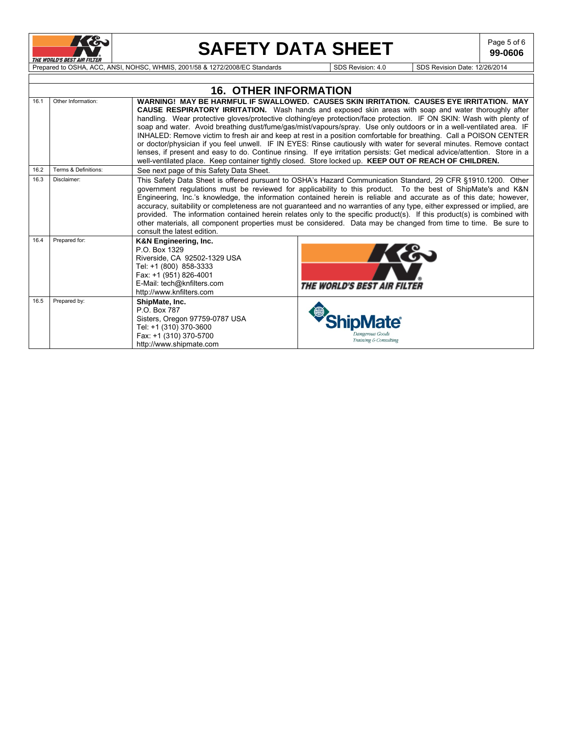

# **SAFETY DATA SHEET**  $\left| \begin{array}{c} \text{Page 5 of 6} \\ \text{99-0606} \end{array} \right|$

**99-0606**

THE WORLD'S BEST AIR FILTER NOHSC, WHMIS, 2001/58 & 1272/2008/EC Standards SDS Revision: 4.0 SDS Revision Date: 12/26/2014

|      |                      | <b>16. OTHER INFORMATION</b>                                                                                                                                                         |                                                                                                                                                                                                                                                                                                                                                                                                                                                                                                                                                                                                                                                                                                                                                                                                                                                                                                                                               |
|------|----------------------|--------------------------------------------------------------------------------------------------------------------------------------------------------------------------------------|-----------------------------------------------------------------------------------------------------------------------------------------------------------------------------------------------------------------------------------------------------------------------------------------------------------------------------------------------------------------------------------------------------------------------------------------------------------------------------------------------------------------------------------------------------------------------------------------------------------------------------------------------------------------------------------------------------------------------------------------------------------------------------------------------------------------------------------------------------------------------------------------------------------------------------------------------|
| 16.1 | Other Information:   |                                                                                                                                                                                      | WARNING! MAY BE HARMFUL IF SWALLOWED.  CAUSES SKIN IRRITATION.  CAUSES EYE IRRITATION.  MAY<br><b>CAUSE RESPIRATORY IRRITATION.</b> Wash hands and exposed skin areas with soap and water thoroughly after<br>handling. Wear protective gloves/protective clothing/eye protection/face protection. IF ON SKIN: Wash with plenty of<br>soap and water. Avoid breathing dust/fume/gas/mist/vapours/spray. Use only outdoors or in a well-ventilated area. IF<br>INHALED: Remove victim to fresh air and keep at rest in a position comfortable for breathing. Call a POISON CENTER<br>or doctor/physician if you feel unwell. IF IN EYES: Rinse cautiously with water for several minutes. Remove contact<br>lenses, if present and easy to do. Continue rinsing. If eye irritation persists: Get medical advice/attention. Store in a<br>well-ventilated place. Keep container tightly closed. Store locked up. KEEP OUT OF REACH OF CHILDREN. |
| 16.2 | Terms & Definitions: | See next page of this Safety Data Sheet.                                                                                                                                             |                                                                                                                                                                                                                                                                                                                                                                                                                                                                                                                                                                                                                                                                                                                                                                                                                                                                                                                                               |
| 16.3 | Disclaimer:          | consult the latest edition.                                                                                                                                                          | This Safety Data Sheet is offered pursuant to OSHA's Hazard Communication Standard, 29 CFR §1910.1200. Other<br>government regulations must be reviewed for applicability to this product. To the best of ShipMate's and K&N<br>Engineering, Inc.'s knowledge, the information contained herein is reliable and accurate as of this date; however,<br>accuracy, suitability or completeness are not guaranteed and no warranties of any type, either expressed or implied, are<br>provided. The information contained herein relates only to the specific product(s). If this product(s) is combined with<br>other materials, all component properties must be considered. Data may be changed from time to time. Be sure to                                                                                                                                                                                                                  |
| 16.4 | Prepared for:        | K&N Engineering, Inc.<br>P.O. Box 1329<br>Riverside, CA 92502-1329 USA<br>Tel: +1 (800) 858-3333<br>Fax: +1 (951) 826-4001<br>E-Mail: tech@knfilters.com<br>http://www.knfilters.com | K&<br><b>THE WORLD'S BEST AIR FILTER</b>                                                                                                                                                                                                                                                                                                                                                                                                                                                                                                                                                                                                                                                                                                                                                                                                                                                                                                      |
| 16.5 | Prepared by:         | ShipMate, Inc.<br>P.O. Box 787<br>Sisters, Oregon 97759-0787 USA<br>Tel: +1 (310) 370-3600<br>Fax: +1 (310) 370-5700<br>http://www.shipmate.com                                      | Jangerous Goods<br>Training & Consulting                                                                                                                                                                                                                                                                                                                                                                                                                                                                                                                                                                                                                                                                                                                                                                                                                                                                                                      |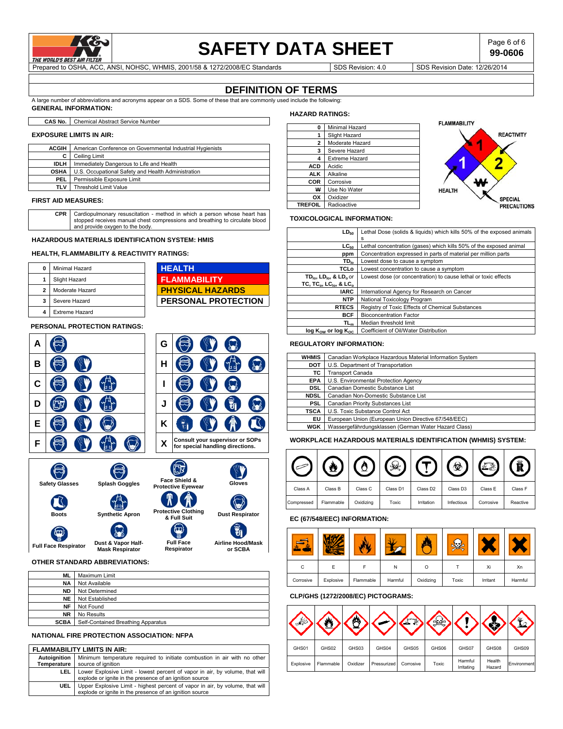

### **SAFETY DATA SHEET** Page 6 of 6

**99-0606**

Prepared to OSHA, ACC, ANSI, NOHSC, WHMIS, 2001/58 & 1272/2008/EC Standards Subsequence SDS Revision: 4.0 SDS Revision Date: 12/26/2014

### **DEFINITION OF TERMS**

A large number of abbreviations and acronyms appear on a SDS. Some of these that are commonly used include the following: **GENERAL INFORMATION:** 

**CAS No.** Chemical Abstract Service Number

#### **EXPOSURE LIMITS IN AIR:**

| <b>ACGIH</b> | American Conference on Governmental Industrial Hygienists |
|--------------|-----------------------------------------------------------|
|              | Ceiling Limit                                             |
| <b>IDLH</b>  | Immediately Dangerous to Life and Health                  |
| <b>OSHA</b>  | U.S. Occupational Safety and Health Administration        |
| <b>PEL</b>   | Permissible Exposure Limit                                |
| TLV          | Threshold Limit Value                                     |
|              |                                                           |

#### **FIRST AID MEASURES:**

**CPR** Cardiopulmonary resuscitation - method in which a person whose heart has stopped receives manual chest compressions and breathing to circulate blood and provide oxygen to the body.

#### **HAZARDOUS MATERIALS IDENTIFICATION SYSTEM: HMIS**

#### **HEALTH, FLAMMABILITY & REACTIVITY RATINGS:**

| Minimal Hazard        | <b>HEALTH</b>              |
|-----------------------|----------------------------|
| Slight Hazard         | <b>FLAMMABILITY</b>        |
| Moderate Hazard       | <b>PHYSICAL HAZARDS</b>    |
| Severe Hazard         | <b>PERSONAL PROTECTION</b> |
| <b>Extreme Hazard</b> |                            |

#### **PERSONAL PROTECTION RATINGS:**

| А            |                       |                        |  |                                           | G |                                                                     |                        |  |        |  |
|--------------|-----------------------|------------------------|--|-------------------------------------------|---|---------------------------------------------------------------------|------------------------|--|--------|--|
| в            |                       |                        |  |                                           | н |                                                                     |                        |  |        |  |
| C            |                       |                        |  |                                           |   |                                                                     |                        |  |        |  |
| D            |                       |                        |  |                                           | J |                                                                     |                        |  |        |  |
| E            |                       |                        |  |                                           | Κ |                                                                     |                        |  |        |  |
| F            |                       |                        |  |                                           | X | Consult your supervisor or SOPs<br>for special handling directions. |                        |  |        |  |
|              | <b>Safety Glasses</b> |                        |  | Splash Goggles                            |   | Face Shield &<br><b>Protective Eyewear</b>                          |                        |  | Gloves |  |
| <b>Boots</b> |                       | <b>Synthetic Apron</b> |  | <b>Protective Clothing</b><br>& Full Suit |   |                                                                     | <b>Dust Respirator</b> |  |        |  |
|              |                       |                        |  |                                           |   |                                                                     |                        |  |        |  |

### **Full Face Respirator Dust & Vapor Half-Mask Respirator OTHER STANDARD ABBREVIATIONS:**

 $\epsilon$ 

| ML          | Maximum Limit                      |
|-------------|------------------------------------|
| <b>NA</b>   | Not Available                      |
| <b>ND</b>   | Not Determined                     |
| <b>NE</b>   | Not Established                    |
| <b>NF</b>   | Not Found                          |
| <b>NR</b>   | No Results                         |
| <b>SCBA</b> | Self-Contained Breathing Apparatus |

**Full Face Respirator** **Airline Hood/Mask or SCBA**

#### **NATIONAL FIRE PROTECTION ASSOCIATION: NFPA**

#### **FLAMMABILITY LIMITS IN AIR:**

| Autoianition  <br>Temperature | Minimum temperature required to initiate combustion in air with no other<br>source of ignition                                           |
|-------------------------------|------------------------------------------------------------------------------------------------------------------------------------------|
| LEL.                          | Lower Explosive Limit - lowest percent of vapor in air, by volume, that will<br>explode or ignite in the presence of an ignition source  |
| UEL                           | Upper Explosive Limit - highest percent of vapor in air, by volume, that will<br>explode or ignite in the presence of an ignition source |

### **HAZARD RATINGS:**

| 0              | Minimal Hazard        |
|----------------|-----------------------|
| 1              | Slight Hazard         |
| 2              | Moderate Hazard       |
| 3              | Severe Hazard         |
| 4              | <b>Extreme Hazard</b> |
| ACD            | Acidic                |
| ALK            | Alkaline              |
| COR            | Corrosive             |
| ₩              | Use No Water          |
| ОΧ             | Oxidizer              |
| <b>TREFOIL</b> | Radioactive           |



#### **TOXICOLOGICAL INFORMATION:**

| $LD_{50}$                                                     | Lethal Dose (solids & liquids) which kills 50% of the exposed animals |
|---------------------------------------------------------------|-----------------------------------------------------------------------|
|                                                               | s                                                                     |
| LC <sub>50</sub>                                              | Lethal concentration (gases) which kills 50% of the exposed animal    |
| ppm                                                           | Concentration expressed in parts of material per million parts        |
| $TD_{lo}$                                                     | Lowest dose to cause a symptom                                        |
| TCLo                                                          | Lowest concentration to cause a symptom                               |
| $TD_{\text{loc}}$ , LD $_{\text{loc}}$ , & LD <sub>o</sub> or | Lowest dose (or concentration) to cause lethal or toxic effects       |
| TC, TC <sub>o</sub> , LC <sub>io</sub> , & LC <sub>o</sub>    |                                                                       |
| <b>IARC</b>                                                   | International Agency for Research on Cancer                           |
| <b>NTP</b>                                                    | National Toxicology Program                                           |
| <b>RTECS</b>                                                  | Registry of Toxic Effects of Chemical Substances                      |
| <b>BCF</b>                                                    | <b>Bioconcentration Factor</b>                                        |
| TL <sub>m</sub>                                               | Median threshold limit                                                |
| $log K_{ow}$ or $log K_{oc}$                                  | Coefficient of Oil/Water Distribution                                 |

#### **REGULATORY INFORMATION:**

| <b>WHMIS</b> | Canadian Workplace Hazardous Material Information System |
|--------------|----------------------------------------------------------|
| DOT          | U.S. Department of Transportation                        |
| ΤС           | Fransport Canada                                         |
| <b>EPA</b>   | U.S. Environmental Protection Agency                     |
| <b>DSL</b>   | Canadian Domestic Substance List                         |
| <b>NDSL</b>  | Canadian Non-Domestic Substance List                     |
| <b>PSL</b>   | Canadian Priority Substances List                        |
| TSCA         | U.S. Toxic Substance Control Act                         |
| EU           | European Union (European Union Directive 67/548/EEC)     |
| WGK          | Wassergefährdungsklassen (German Water Hazard Class)     |

#### **WORKPLACE HAZARDOUS MATERIALS IDENTIFICATION (WHMIS) SYSTEM:**

|            |           |           |          |                      | ₩                    |           |          |
|------------|-----------|-----------|----------|----------------------|----------------------|-----------|----------|
| Class A    | Class B   | Class C   | Class D1 | Class D <sub>2</sub> | Class D <sub>3</sub> | Class E   | Class F  |
| Compressed | Flammable | Oxidizing | Toxic    | Irritation           | Infectious           | Corrosive | Reactive |

### **EC (67/548/EEC) INFORMATION:**

| C         |           |           | N       | Ω         |       | Xi       | Xn      |
|-----------|-----------|-----------|---------|-----------|-------|----------|---------|
| Corrosive | Explosive | Flammable | Harmful | Oxidizing | Toxic | Irritant | Harmful |

### **CLP/GHS (1272/2008/EC) PICTOGRAMS:**

| GHS01     | GHS02     | GHS03    | GHS04       | GHS05     | GHS06 | GHS07                 | GHS08            | GHS09       |
|-----------|-----------|----------|-------------|-----------|-------|-----------------------|------------------|-------------|
| Explosive | Flammable | Oxidizer | Pressurized | Corrosive | Toxic | Harmful<br>Irritating | Health<br>Hazard | Environment |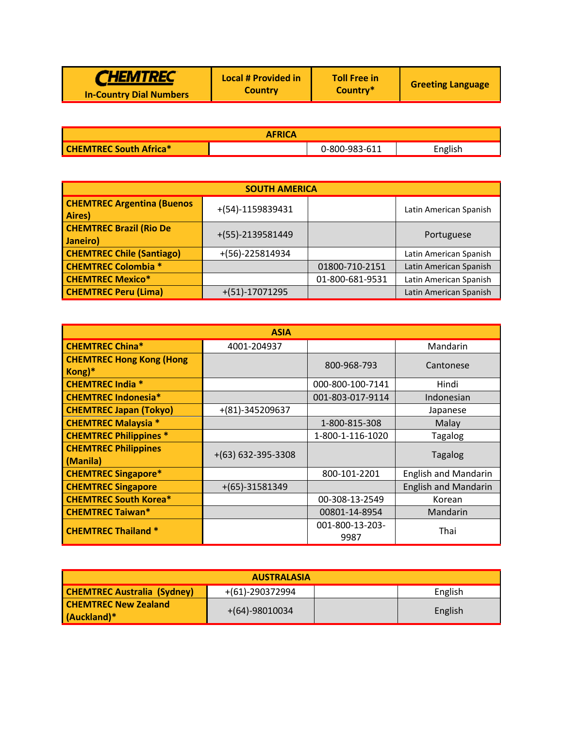|  | <b>CHEMTREC</b><br><b>In-Country Dial Numbers</b> | Local # Provided in<br><b>Country</b> | <b>Toll Free in</b><br>Country* | <b>Greeting Language</b> |
|--|---------------------------------------------------|---------------------------------------|---------------------------------|--------------------------|
|--|---------------------------------------------------|---------------------------------------|---------------------------------|--------------------------|

| <b>AFRICA</b>                 |  |               |         |  |
|-------------------------------|--|---------------|---------|--|
| <b>CHEMTREC South Africa*</b> |  | 0-800-983-611 | English |  |

| <b>SOUTH AMERICA</b>                        |                   |                 |                        |  |  |  |
|---------------------------------------------|-------------------|-----------------|------------------------|--|--|--|
| <b>CHEMTREC Argentina (Buenos</b><br>Aires) | +(54)-1159839431  |                 | Latin American Spanish |  |  |  |
| <b>CHEMTREC Brazil (Rio De</b><br>Janeiro)  | +(55)-2139581449  |                 | Portuguese             |  |  |  |
| <b>CHEMTREC Chile (Santiago)</b>            | $+(56)-225814934$ |                 | Latin American Spanish |  |  |  |
| <b>CHEMTREC Colombia *</b>                  |                   | 01800-710-2151  | Latin American Spanish |  |  |  |
| <b>CHEMTREC Mexico*</b>                     |                   | 01-800-681-9531 | Latin American Spanish |  |  |  |
| <b>CHEMTREC Peru (Lima)</b>                 | $+(51)-17071295$  |                 | Latin American Spanish |  |  |  |

|                                           | <b>ASIA</b>          |                         |                             |
|-------------------------------------------|----------------------|-------------------------|-----------------------------|
| <b>CHEMTREC China*</b>                    | 4001-204937          |                         | Mandarin                    |
| <b>CHEMTREC Hong Kong (Hong</b><br>Kong)* |                      | 800-968-793             | Cantonese                   |
| <b>CHEMTREC India *</b>                   |                      | 000-800-100-7141        | Hindi                       |
| <b>CHEMTREC Indonesia*</b>                |                      | 001-803-017-9114        | Indonesian                  |
| <b>CHEMTREC Japan (Tokyo)</b>             | +(81)-345209637      |                         | Japanese                    |
| <b>CHEMTREC Malaysia *</b>                |                      | 1-800-815-308           | Malay                       |
| <b>CHEMTREC Philippines *</b>             |                      | 1-800-1-116-1020        | <b>Tagalog</b>              |
| <b>CHEMTREC Philippines</b><br>(Manila)   | $+(63)$ 632-395-3308 |                         | <b>Tagalog</b>              |
| <b>CHEMTREC Singapore*</b>                |                      | 800-101-2201            | <b>English and Mandarin</b> |
| <b>CHEMTREC Singapore</b>                 | $+(65)-31581349$     |                         | <b>English and Mandarin</b> |
| <b>CHEMTREC South Korea*</b>              |                      | 00-308-13-2549          | Korean                      |
| <b>CHEMTREC Taiwan*</b>                   |                      | 00801-14-8954           | Mandarin                    |
| <b>CHEMTREC Thailand *</b>                |                      | 001-800-13-203-<br>9987 | Thai                        |

| <b>AUSTRALASIA</b>                                               |                |  |         |  |  |  |
|------------------------------------------------------------------|----------------|--|---------|--|--|--|
| <b>CHEMTREC Australia (Sydney)</b><br>+(61)-290372994<br>English |                |  |         |  |  |  |
| <b>CHEMTREC New Zealand</b><br>(Auckland)*                       | +(64)-98010034 |  | English |  |  |  |